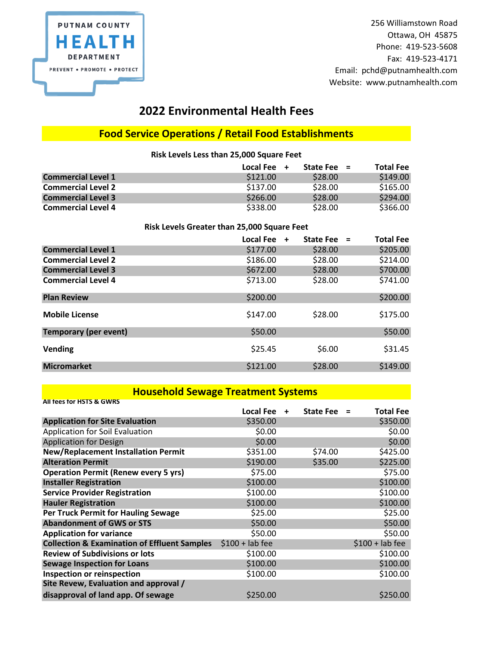

256 Williamstown Road Ottawa, OH 45875 Phone: 419-523-5608 Fax: 419-523-4171 Email: pchd@putnamhealth.com Website: www.putnamhealth.com

### **2022 Environmental Health Fees**

#### **Food Service Operations / Retail Food Establishments**

**Risk Levels Less than 25,000 Square Feet**

|                           | Local Fee $+$ | State Fee $=$ | <b>Total Fee</b> |
|---------------------------|---------------|---------------|------------------|
| <b>Commercial Level 1</b> | \$121.00      | \$28.00       | \$149.00         |
| <b>Commercial Level 2</b> | \$137.00      | \$28.00       | \$165.00         |
| <b>Commercial Level 3</b> | \$266.00      | \$28.00       | \$294.00         |
| <b>Commercial Level 4</b> | \$338.00      | \$28.00       | \$366.00         |

#### **Risk Levels Greater than 25,000 Square Feet**

|                              | Local Fee | <b>State Fee</b><br>$\ddot{+}$ | <b>Total Fee</b><br>$=$ |
|------------------------------|-----------|--------------------------------|-------------------------|
| <b>Commercial Level 1</b>    | \$177.00  | \$28.00                        | \$205.00                |
| <b>Commercial Level 2</b>    | \$186.00  | \$28.00                        | \$214.00                |
| <b>Commercial Level 3</b>    | \$672.00  | \$28.00                        | \$700.00                |
| <b>Commercial Level 4</b>    | \$713.00  | \$28.00                        | \$741.00                |
| <b>Plan Review</b>           | \$200.00  |                                | \$200.00                |
| <b>Mobile License</b>        | \$147.00  | \$28.00                        | \$175.00                |
| <b>Temporary (per event)</b> | \$50.00   |                                | \$50.00                 |
| Vending                      | \$25.45   | \$6.00                         | \$31.45                 |
| <b>Micromarket</b>           | \$121.00  | \$28.00                        | \$149.00                |

#### **Household Sewage Treatment Systems**

| <b>All fees for HSTS &amp; GWRS</b>                     |                  |           |                  |          |                  |
|---------------------------------------------------------|------------------|-----------|------------------|----------|------------------|
|                                                         | <b>Local Fee</b> | $\ddot{}$ | <b>State Fee</b> | $\equiv$ | <b>Total Fee</b> |
| <b>Application for Site Evaluation</b>                  | \$350.00         |           |                  |          | \$350.00         |
| Application for Soil Evaluation                         | \$0.00           |           |                  |          | \$0.00           |
| <b>Application for Design</b>                           | \$0.00           |           |                  |          | \$0.00           |
| <b>New/Replacement Installation Permit</b>              | \$351.00         |           | \$74.00          |          | \$425.00         |
| <b>Alteration Permit</b>                                | \$190.00         |           | \$35.00          |          | \$225.00         |
| <b>Operation Permit (Renew every 5 yrs)</b>             | \$75.00          |           |                  |          | \$75.00          |
| <b>Installer Registration</b>                           | \$100.00         |           |                  |          | \$100.00         |
| <b>Service Provider Registration</b>                    | \$100.00         |           |                  |          | \$100.00         |
| <b>Hauler Registration</b>                              | \$100.00         |           |                  |          | \$100.00         |
| <b>Per Truck Permit for Hauling Sewage</b>              | \$25.00          |           |                  |          | \$25.00          |
| <b>Abandonment of GWS or STS</b>                        | \$50.00          |           |                  |          | \$50.00          |
| <b>Application for variance</b>                         | \$50.00          |           |                  |          | \$50.00          |
| <b>Collection &amp; Examination of Effluent Samples</b> | $$100 + lab$ fee |           |                  |          | $$100 + lab fee$ |
| <b>Review of Subdivisions or lots</b>                   | \$100.00         |           |                  |          | \$100.00         |
| <b>Sewage Inspection for Loans</b>                      | \$100.00         |           |                  |          | \$100.00         |
| Inspection or reinspection                              | \$100.00         |           |                  |          | \$100.00         |
| Site Revew, Evaluation and approval /                   |                  |           |                  |          |                  |
| disapproval of land app. Of sewage                      | \$250.00         |           |                  |          | \$250.00         |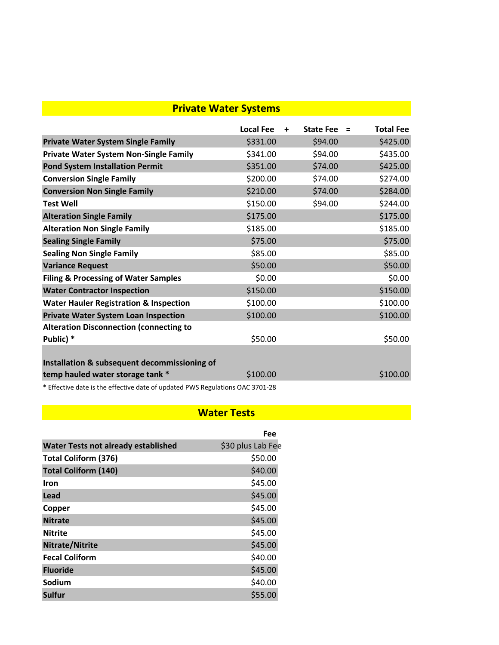## **Private Water Systems**

|                                                   | <b>Local Fee</b> | $\ddot{}$ | <b>State Fee</b> | Ξ | <b>Total Fee</b> |
|---------------------------------------------------|------------------|-----------|------------------|---|------------------|
| <b>Private Water System Single Family</b>         | \$331.00         |           | \$94.00          |   | \$425.00         |
| <b>Private Water System Non-Single Family</b>     | \$341.00         |           | \$94.00          |   | \$435.00         |
| <b>Pond System Installation Permit</b>            | \$351.00         |           | \$74.00          |   | \$425.00         |
| <b>Conversion Single Family</b>                   | \$200.00         |           | \$74.00          |   | \$274.00         |
| <b>Conversion Non Single Family</b>               | \$210.00         |           | \$74.00          |   | \$284.00         |
| <b>Test Well</b>                                  | \$150.00         |           | \$94.00          |   | \$244.00         |
| <b>Alteration Single Family</b>                   | \$175.00         |           |                  |   | \$175.00         |
| <b>Alteration Non Single Family</b>               | \$185.00         |           |                  |   | \$185.00         |
| <b>Sealing Single Family</b>                      | \$75.00          |           |                  |   | \$75.00          |
| <b>Sealing Non Single Family</b>                  | \$85.00          |           |                  |   | \$85.00          |
| <b>Variance Request</b>                           | \$50.00          |           |                  |   | \$50.00          |
| <b>Filing &amp; Processing of Water Samples</b>   | \$0.00           |           |                  |   | \$0.00           |
| <b>Water Contractor Inspection</b>                | \$150.00         |           |                  |   | \$150.00         |
| <b>Water Hauler Registration &amp; Inspection</b> | \$100.00         |           |                  |   | \$100.00         |
| <b>Private Water System Loan Inspection</b>       | \$100.00         |           |                  |   | \$100.00         |
| <b>Alteration Disconnection (connecting to</b>    |                  |           |                  |   |                  |
| Public) *                                         | \$50.00          |           |                  |   | \$50.00          |
|                                                   |                  |           |                  |   |                  |
| Installation & subsequent decommissioning of      |                  |           |                  |   |                  |
| temp hauled water storage tank *                  | \$100.00         |           |                  |   | \$100.00         |

\* Effective date is the effective date of updated PWS Regulations OAC 3701-28

#### **Water Tests**

|                                            | Fee               |
|--------------------------------------------|-------------------|
| <b>Water Tests not already established</b> | \$30 plus Lab Fee |
| <b>Total Coliform (376)</b>                | \$50.00           |
| <b>Total Coliform (140)</b>                | \$40.00           |
| <b>Iron</b>                                | \$45.00           |
| Lead                                       | \$45.00           |
| Copper                                     | \$45.00           |
| <b>Nitrate</b>                             | \$45.00           |
| <b>Nitrite</b>                             | \$45.00           |
| Nitrate/Nitrite                            | \$45.00           |
| <b>Fecal Coliform</b>                      | \$40.00           |
| <b>Fluoride</b>                            | \$45.00           |
| Sodium                                     | \$40.00           |
| <b>Sulfur</b>                              | \$55.00           |